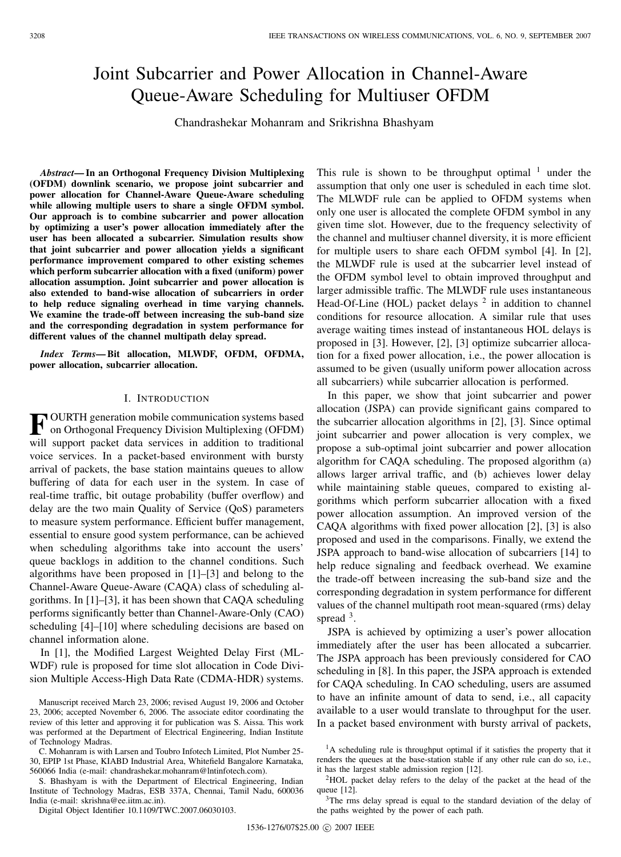# Joint Subcarrier and Power Allocation in Channel-Aware Queue-Aware Scheduling for Multiuser OFDM

Chandrashekar Mohanram and Srikrishna Bhashyam

*Abstract***— In an Orthogonal Frequency Division Multiplexing (OFDM) downlink scenario, we propose joint subcarrier and power allocation for Channel-Aware Queue-Aware scheduling while allowing multiple users to share a single OFDM symbol. Our approach is to combine subcarrier and power allocation by optimizing a user's power allocation immediately after the user has been allocated a subcarrier. Simulation results show that joint subcarrier and power allocation yields a significant performance improvement compared to other existing schemes which perform subcarrier allocation with a fixed (uniform) power allocation assumption. Joint subcarrier and power allocation is also extended to band-wise allocation of subcarriers in order to help reduce signaling overhead in time varying channels. We examine the trade-off between increasing the sub-band size and the corresponding degradation in system performance for different values of the channel multipath delay spread.**

*Index Terms***— Bit allocation, MLWDF, OFDM, OFDMA, power allocation, subcarrier allocation.**

## I. INTRODUCTION

**F** OURTH generation mobile communication systems based<br>on Orthogonal Frequency Division Multiplexing (OFDM) will support packet data services in addition to traditional voice services. In a packet-based environment with bursty arrival of packets, the base station maintains queues to allow buffering of data for each user in the system. In case of real-time traffic, bit outage probability (buffer overflow) and delay are the two main Quality of Service (QoS) parameters to measure system performance. Efficient buffer management, essential to ensure good system performance, can be achieved when scheduling algorithms take into account the users' queue backlogs in addition to the channel conditions. Such algorithms have been proposed in [1]–[3] and belong to the Channel-Aware Queue-Aware (CAQA) class of scheduling algorithms. In [1]–[3], it has been shown that CAQA scheduling performs significantly better than Channel-Aware-Only (CAO) scheduling [4]–[10] where scheduling decisions are based on channel information alone.

In [1], the Modified Largest Weighted Delay First (ML-WDF) rule is proposed for time slot allocation in Code Division Multiple Access-High Data Rate (CDMA-HDR) systems.

S. Bhashyam is with the Department of Electrical Engineering, Indian Institute of Technology Madras, ESB 337A, Chennai, Tamil Nadu, 600036 India (e-mail: skrishna@ee.iitm.ac.in).

Digital Object Identifier 10.1109/TWC.2007.06030103.

This rule is shown to be throughput optimal  $1$  under the assumption that only one user is scheduled in each time slot. The MLWDF rule can be applied to OFDM systems when only one user is allocated the complete OFDM symbol in any given time slot. However, due to the frequency selectivity of the channel and multiuser channel diversity, it is more efficient for multiple users to share each OFDM symbol [4]. In [2], the MLWDF rule is used at the subcarrier level instead of the OFDM symbol level to obtain improved throughput and larger admissible traffic. The MLWDF rule uses instantaneous Head-Of-Line (HOL) packet delays  $2$  in addition to channel conditions for resource allocation. A similar rule that uses average waiting times instead of instantaneous HOL delays is proposed in [3]. However, [2], [3] optimize subcarrier allocation for a fixed power allocation, i.e., the power allocation is assumed to be given (usually uniform power allocation across all subcarriers) while subcarrier allocation is performed.

In this paper, we show that joint subcarrier and power allocation (JSPA) can provide significant gains compared to the subcarrier allocation algorithms in [2], [3]. Since optimal joint subcarrier and power allocation is very complex, we propose a sub-optimal joint subcarrier and power allocation algorithm for CAQA scheduling. The proposed algorithm (a) allows larger arrival traffic, and (b) achieves lower delay while maintaining stable queues, compared to existing algorithms which perform subcarrier allocation with a fixed power allocation assumption. An improved version of the CAQA algorithms with fixed power allocation [2], [3] is also proposed and used in the comparisons. Finally, we extend the JSPA approach to band-wise allocation of subcarriers [14] to help reduce signaling and feedback overhead. We examine the trade-off between increasing the sub-band size and the corresponding degradation in system performance for different values of the channel multipath root mean-squared (rms) delay spread  $3$ .

JSPA is achieved by optimizing a user's power allocation immediately after the user has been allocated a subcarrier. The JSPA approach has been previously considered for CAO scheduling in [8]. In this paper, the JSPA approach is extended for CAQA scheduling. In CAO scheduling, users are assumed to have an infinite amount of data to send, i.e., all capacity available to a user would translate to throughput for the user. In a packet based environment with bursty arrival of packets,

Manuscript received March 23, 2006; revised August 19, 2006 and October 23, 2006; accepted November 6, 2006. The associate editor coordinating the review of this letter and approving it for publication was S. Aissa. This work was performed at the Department of Electrical Engineering, Indian Institute of Technology Madras.

C. Mohanram is with Larsen and Toubro Infotech Limited, Plot Number 25- 30, EPIP 1st Phase, KIABD Industrial Area, Whitefield Bangalore Karnataka, 560066 India (e-mail: chandrashekar.mohanram@lntinfotech.com).

<sup>&</sup>lt;sup>1</sup>A scheduling rule is throughput optimal if it satisfies the property that it renders the queues at the base-station stable if any other rule can do so, i.e., it has the largest stable admission region [12].

<sup>2</sup>HOL packet delay refers to the delay of the packet at the head of the queue [12].

<sup>&</sup>lt;sup>3</sup>The rms delay spread is equal to the standard deviation of the delay of the paths weighted by the power of each path.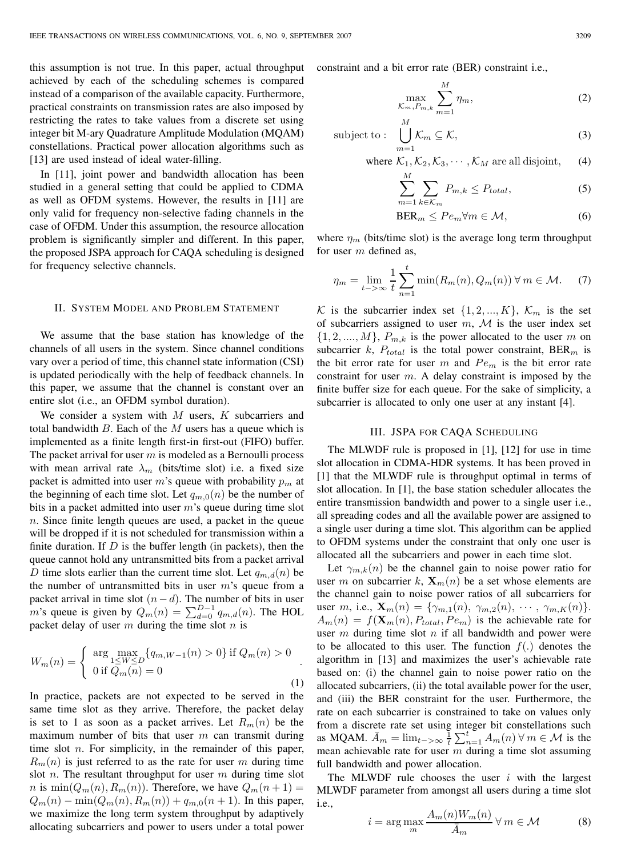this assumption is not true. In this paper, actual throughput achieved by each of the scheduling schemes is compared instead of a comparison of the available capacity. Furthermore, practical constraints on transmission rates are also imposed by restricting the rates to take values from a discrete set using integer bit M-ary Quadrature Amplitude Modulation (MQAM) constellations. Practical power allocation algorithms such as [13] are used instead of ideal water-filling.

In [11], joint power and bandwidth allocation has been studied in a general setting that could be applied to CDMA as well as OFDM systems. However, the results in [11] are only valid for frequency non-selective fading channels in the case of OFDM. Under this assumption, the resource allocation problem is significantly simpler and different. In this paper, the proposed JSPA approach for CAQA scheduling is designed for frequency selective channels.

## II. SYSTEM MODEL AND PROBLEM STATEMENT

We assume that the base station has knowledge of the channels of all users in the system. Since channel conditions vary over a period of time, this channel state information (CSI) is updated periodically with the help of feedback channels. In this paper, we assume that the channel is constant over an entire slot (i.e., an OFDM symbol duration).

We consider a system with  $M$  users,  $K$  subcarriers and total bandwidth  $B$ . Each of the  $M$  users has a queue which is implemented as a finite length first-in first-out (FIFO) buffer. The packet arrival for user  $m$  is modeled as a Bernoulli process with mean arrival rate  $\lambda_m$  (bits/time slot) i.e. a fixed size packet is admitted into user m's queue with probability p*<sup>m</sup>* at the beginning of each time slot. Let  $q_{m,0}(n)$  be the number of bits in a packet admitted into user  $m$ 's queue during time slot n. Since finite length queues are used, a packet in the queue will be dropped if it is not scheduled for transmission within a finite duration. If  $D$  is the buffer length (in packets), then the queue cannot hold any untransmitted bits from a packet arrival D time slots earlier than the current time slot. Let  $q_{m,d}(n)$  be the number of untransmitted bits in user  $m$ 's queue from a packet arrival in time slot  $(n - d)$ . The number of bits in user *m*'s queue is given by  $Q_m(n) = \sum_{d=0}^{D-1} q_{m,d}(n)$ . The HOL packet delay of user  $m$  during the time slot  $n$  is

$$
W_m(n) = \begin{cases} \arg \max_{1 \le W \le D} \{q_{m,W-1}(n) > 0\} & \text{if } Q_m(n) > 0 \\ 0 & \text{if } Q_m(n) = 0 \end{cases}.
$$
\n(1)

In practice, packets are not expected to be served in the same time slot as they arrive. Therefore, the packet delay is set to 1 as soon as a packet arrives. Let  $R_m(n)$  be the maximum number of bits that user  $m$  can transmit during time slot  $n$ . For simplicity, in the remainder of this paper,  $R_m(n)$  is just referred to as the rate for user m during time slot *n*. The resultant throughput for user  $m$  during time slot *n* is  $\min(Q_m(n), R_m(n))$ . Therefore, we have  $Q_m(n+1)$  =  $Q_m(n) - \min(Q_m(n), R_m(n)) + q_{m,0}(n + 1)$ . In this paper, we maximize the long term system throughput by adaptively allocating subcarriers and power to users under a total power

constraint and a bit error rate (BER) constraint i.e.,

$$
\max_{\mathcal{K}_m, P_{m,k}} \sum_{m=1}^M \eta_m,\tag{2}
$$

subject to: 
$$
\bigcup_{m=1}^{M} \mathcal{K}_m \subseteq \mathcal{K},
$$
 (3)

where 
$$
\mathcal{K}_1, \mathcal{K}_2, \mathcal{K}_3, \cdots, \mathcal{K}_M
$$
 are all disjoint, (4)

$$
\sum_{m=1}^{M} \sum_{k \in \mathcal{K}_m} P_{m,k} \le P_{total},\tag{5}
$$

$$
\text{BER}_m \le P e_m \forall m \in \mathcal{M},\tag{6}
$$

where  $\eta_m$  (bits/time slot) is the average long term throughput for user  $m$  defined as,

$$
\eta_m = \lim_{t \to \infty} \frac{1}{t} \sum_{n=1}^t \min(R_m(n), Q_m(n)) \,\forall \, m \in \mathcal{M}.
$$
 (7)

K is the subcarrier index set  $\{1, 2, ..., K\}$ ,  $\mathcal{K}_m$  is the set of subcarriers assigned to user  $m$ ,  $M$  is the user index set  $\{1, 2, \ldots, M\}, P_{m,k}$  is the power allocated to the user m on subcarrier k,  $P_{total}$  is the total power constraint,  $BER_m$  is the bit error rate for user m and  $Pe<sub>m</sub>$  is the bit error rate constraint for user  $m$ . A delay constraint is imposed by the finite buffer size for each queue. For the sake of simplicity, a subcarrier is allocated to only one user at any instant [4].

### III. JSPA FOR CAQA SCHEDULING

The MLWDF rule is proposed in [1], [12] for use in time slot allocation in CDMA-HDR systems. It has been proved in [1] that the MLWDF rule is throughput optimal in terms of slot allocation. In [1], the base station scheduler allocates the entire transmission bandwidth and power to a single user i.e., all spreading codes and all the available power are assigned to a single user during a time slot. This algorithm can be applied to OFDM systems under the constraint that only one user is allocated all the subcarriers and power in each time slot.

Let  $\gamma_{m,k}(n)$  be the channel gain to noise power ratio for user m on subcarrier k,  $\mathbf{X}_m(n)$  be a set whose elements are the channel gain to noise power ratios of all subcarriers for user *m*, i.e.,  $\mathbf{X}_m(n) = {\gamma_{m,1}(n), \gamma_{m,2}(n), \cdots, \gamma_{m,K}(n)}.$  $A_m(n) = f(\mathbf{X}_m(n), P_{total}, P_{em})$  is the achievable rate for user  $m$  during time slot  $n$  if all bandwidth and power were to be allocated to this user. The function  $f(.)$  denotes the algorithm in [13] and maximizes the user's achievable rate based on: (i) the channel gain to noise power ratio on the allocated subcarriers, (ii) the total available power for the user, and (iii) the BER constraint for the user. Furthermore, the rate on each subcarrier is constrained to take on values only from a discrete rate set using integer bit constellations such as MQAM.  $\bar{A}_m = \lim_{t \to \infty} \frac{1}{t} \sum_{n=1}^t A_m(n) \forall m \in \mathcal{M}$  is the mean achievable rate for user  $m$  during a time slot assuming full bandwidth and power allocation.

The MLWDF rule chooses the user  $i$  with the largest MLWDF parameter from amongst all users during a time slot i.e.,

$$
i = \arg\max_{m} \frac{A_m(n)W_m(n)}{\bar{A}_m} \,\forall \, m \in \mathcal{M} \tag{8}
$$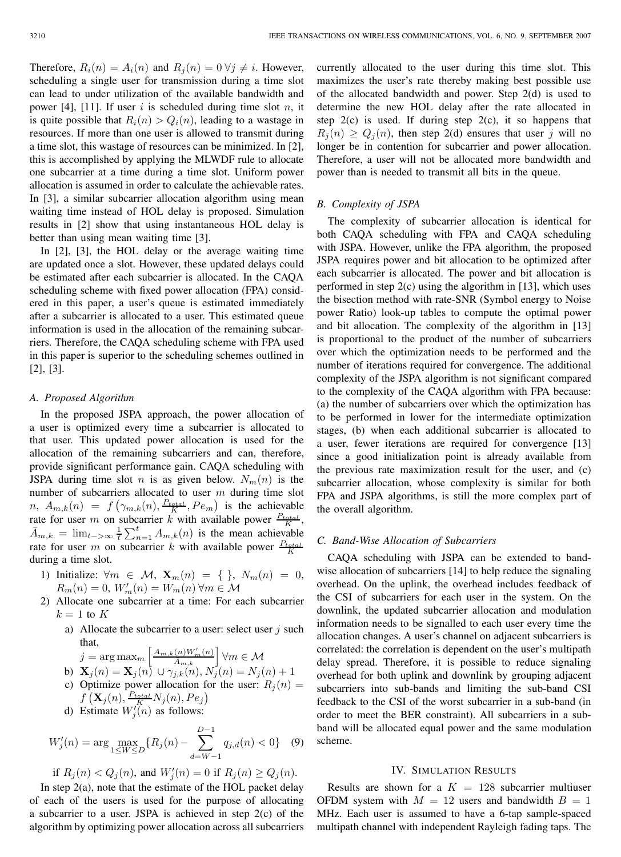Therefore,  $R_i(n) = A_i(n)$  and  $R_i(n) = 0 \forall j \neq i$ . However, scheduling a single user for transmission during a time slot can lead to under utilization of the available bandwidth and power [4], [11]. If user i is scheduled during time slot n, it is quite possible that  $R_i(n) > Q_i(n)$ , leading to a wastage in resources. If more than one user is allowed to transmit during a time slot, this wastage of resources can be minimized. In [2], this is accomplished by applying the MLWDF rule to allocate one subcarrier at a time during a time slot. Uniform power allocation is assumed in order to calculate the achievable rates. In [3], a similar subcarrier allocation algorithm using mean waiting time instead of HOL delay is proposed. Simulation results in [2] show that using instantaneous HOL delay is better than using mean waiting time [3].

In [2], [3], the HOL delay or the average waiting time are updated once a slot. However, these updated delays could be estimated after each subcarrier is allocated. In the CAQA scheduling scheme with fixed power allocation (FPA) considered in this paper, a user's queue is estimated immediately after a subcarrier is allocated to a user. This estimated queue information is used in the allocation of the remaining subcarriers. Therefore, the CAQA scheduling scheme with FPA used in this paper is superior to the scheduling schemes outlined in [2], [3].

#### *A. Proposed Algorithm*

In the proposed JSPA approach, the power allocation of a user is optimized every time a subcarrier is allocated to that user. This updated power allocation is used for the allocation of the remaining subcarriers and can, therefore, provide significant performance gain. CAQA scheduling with JSPA during time slot *n* is as given below.  $N_m(n)$  is the number of subcarriers allocated to user  $m$  during time slot  $n, A_{m,k}(n) = f(\gamma_{m,k}(n), \frac{P_{total}}{K}, Pe_m)$  is the achievable rate for user m on subcarrier k with available power  $\frac{P_{total}}{K}$ ,  $\bar{A}_{m,k} = \lim_{t \to \infty} \frac{1}{t} \sum_{n=1}^{t} A_{m,k}(n)$  is the mean achievable rate for user m on subcarrier k with available power  $\frac{P_{total}}{K}$ during a time slot.

- 1) Initialize:  $\forall m \in \mathcal{M}, \mathbf{X}_m(n) = \{\}\$ ,  $N_m(n) = 0$ ,  $R_m(n) = 0$ ,  $W'_m(n) = W_m(n)$   $\forall m \in \mathcal{M}$
- 2) Allocate one subcarrier at a time: For each subcarrier  $k = 1$  to  $K$ 
	- a) Allocate the subcarrier to a user: select user  $j$  such that,

$$
j = \arg \max_{m} \left[ \frac{A_{m,k}(n)W_m'(n)}{A_{m,k}} \right] \forall m \in \mathcal{M}
$$

b) 
$$
\mathbf{X}_j(n) = \mathbf{X}_j(n) \cup \gamma_{j,k}(n), N_j(n) = N_j(n) + 1
$$

- c) Optimize power allocation for the user:  $R_i(n)$  =  $f\left(\mathbf{X}_j(n), \frac{P_{total}}{K}N_j(n), Pe_j\right)$
- d) Estimate  $W_i'(n)$  as follows:

$$
W'_{j}(n) = \arg \max_{1 \le W \le D} \{ R_{j}(n) - \sum_{d=W-1}^{D-1} q_{j,d}(n) < 0 \} \tag{9}
$$

if 
$$
R_j(n) < Q_j(n)
$$
, and  $W'_j(n) = 0$  if  $R_j(n) \geq Q_j(n)$ .

In step  $2(a)$ , note that the estimate of the HOL packet delay of each of the users is used for the purpose of allocating a subcarrier to a user. JSPA is achieved in step 2(c) of the algorithm by optimizing power allocation across all subcarriers currently allocated to the user during this time slot. This maximizes the user's rate thereby making best possible use of the allocated bandwidth and power. Step 2(d) is used to determine the new HOL delay after the rate allocated in step  $2(c)$  is used. If during step  $2(c)$ , it so happens that  $R_i(n) \geq Q_i(n)$ , then step 2(d) ensures that user j will no longer be in contention for subcarrier and power allocation. Therefore, a user will not be allocated more bandwidth and power than is needed to transmit all bits in the queue.

#### *B. Complexity of JSPA*

The complexity of subcarrier allocation is identical for both CAQA scheduling with FPA and CAQA scheduling with JSPA. However, unlike the FPA algorithm, the proposed JSPA requires power and bit allocation to be optimized after each subcarrier is allocated. The power and bit allocation is performed in step 2(c) using the algorithm in [13], which uses the bisection method with rate-SNR (Symbol energy to Noise power Ratio) look-up tables to compute the optimal power and bit allocation. The complexity of the algorithm in [13] is proportional to the product of the number of subcarriers over which the optimization needs to be performed and the number of iterations required for convergence. The additional complexity of the JSPA algorithm is not significant compared to the complexity of the CAQA algorithm with FPA because: (a) the number of subcarriers over which the optimization has to be performed in lower for the intermediate optimization stages, (b) when each additional subcarrier is allocated to a user, fewer iterations are required for convergence [13] since a good initialization point is already available from the previous rate maximization result for the user, and (c) subcarrier allocation, whose complexity is similar for both FPA and JSPA algorithms, is still the more complex part of the overall algorithm.

#### *C. Band-Wise Allocation of Subcarriers*

CAQA scheduling with JSPA can be extended to bandwise allocation of subcarriers [14] to help reduce the signaling overhead. On the uplink, the overhead includes feedback of the CSI of subcarriers for each user in the system. On the downlink, the updated subcarrier allocation and modulation information needs to be signalled to each user every time the allocation changes. A user's channel on adjacent subcarriers is correlated: the correlation is dependent on the user's multipath delay spread. Therefore, it is possible to reduce signaling overhead for both uplink and downlink by grouping adjacent subcarriers into sub-bands and limiting the sub-band CSI feedback to the CSI of the worst subcarrier in a sub-band (in order to meet the BER constraint). All subcarriers in a subband will be allocated equal power and the same modulation scheme.

## IV. SIMULATION RESULTS

Results are shown for a  $K = 128$  subcarrier multiuser OFDM system with  $M = 12$  users and bandwidth  $B = 1$ MHz. Each user is assumed to have a 6-tap sample-spaced multipath channel with independent Rayleigh fading taps. The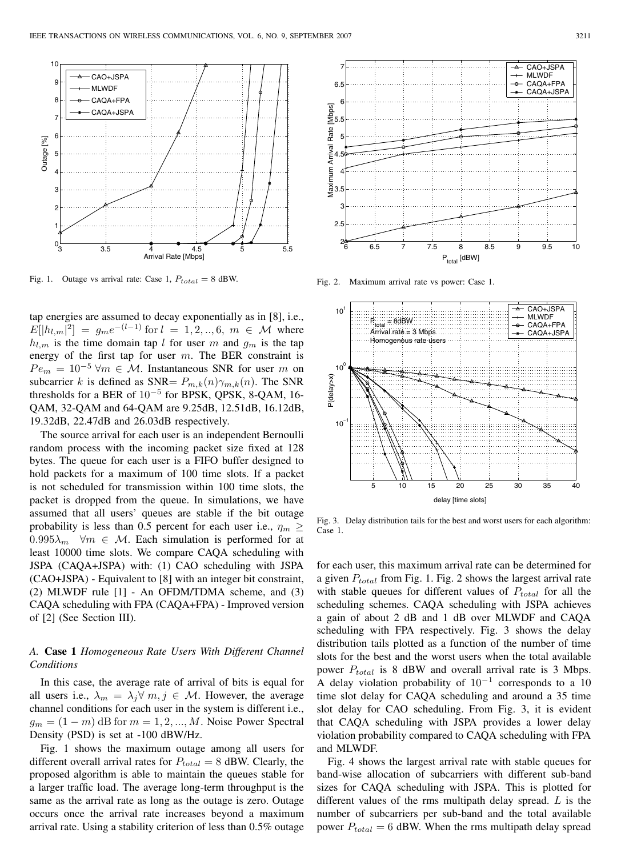

Fig. 1. Outage vs arrival rate: Case 1,  $P_{total} = 8$  dBW.

tap energies are assumed to decay exponentially as in [8], i.e.,  $E[|h_{l,m}|^2] = g_m e^{-(l-1)}$  for  $l = 1, 2, ..., 6, m \in \mathcal{M}$  where  $h_{l,m}$  is the time domain tap l for user m and  $g_m$  is the tap energy of the first tap for user m. The BER constraint is  $Pe_m = 10^{-5}$  ∀m ∈ M. Instantaneous SNR for user m on subcarrier k is defined as SNR=  $P_{m,k}(n)\gamma_{m,k}(n)$ . The SNR thresholds for a BER of  $10^{-5}$  for BPSK, QPSK, 8-QAM, 16-QAM, 32-QAM and 64-QAM are 9.25dB, 12.51dB, 16.12dB, 19.32dB, 22.47dB and 26.03dB respectively.

The source arrival for each user is an independent Bernoulli random process with the incoming packet size fixed at 128 bytes. The queue for each user is a FIFO buffer designed to hold packets for a maximum of 100 time slots. If a packet is not scheduled for transmission within 100 time slots, the packet is dropped from the queue. In simulations, we have assumed that all users' queues are stable if the bit outage probability is less than 0.5 percent for each user i.e.,  $\eta_m \geq$  $0.995\lambda_m$   $\forall m \in \mathcal{M}$ . Each simulation is performed for at least 10000 time slots. We compare CAQA scheduling with JSPA (CAQA+JSPA) with: (1) CAO scheduling with JSPA (CAO+JSPA) - Equivalent to [8] with an integer bit constraint, (2) MLWDF rule [1] - An OFDM/TDMA scheme, and (3) CAQA scheduling with FPA (CAQA+FPA) - Improved version of [2] (See Section III).

# *A.* **Case 1** *Homogeneous Rate Users With Different Channel Conditions*

In this case, the average rate of arrival of bits is equal for all users i.e.,  $\lambda_m = \lambda_j \forall m, j \in \mathcal{M}$ . However, the average channel conditions for each user in the system is different i.e.,  $g_m = (1 - m)$  dB for  $m = 1, 2, ..., M$ . Noise Power Spectral Density (PSD) is set at -100 dBW/Hz.

Fig. 1 shows the maximum outage among all users for different overall arrival rates for  $P_{total} = 8$  dBW. Clearly, the proposed algorithm is able to maintain the queues stable for a larger traffic load. The average long-term throughput is the same as the arrival rate as long as the outage is zero. Outage occurs once the arrival rate increases beyond a maximum arrival rate. Using a stability criterion of less than 0.5% outage



Fig. 2. Maximum arrival rate vs power: Case 1.



Fig. 3. Delay distribution tails for the best and worst users for each algorithm: Case 1.

for each user, this maximum arrival rate can be determined for a given P*total* from Fig. 1. Fig. 2 shows the largest arrival rate with stable queues for different values of P*total* for all the scheduling schemes. CAQA scheduling with JSPA achieves a gain of about 2 dB and 1 dB over MLWDF and CAQA scheduling with FPA respectively. Fig. 3 shows the delay distribution tails plotted as a function of the number of time slots for the best and the worst users when the total available power P*total* is 8 dBW and overall arrival rate is 3 Mbps. A delay violation probability of  $10^{-1}$  corresponds to a 10 time slot delay for CAQA scheduling and around a 35 time slot delay for CAO scheduling. From Fig. 3, it is evident that CAQA scheduling with JSPA provides a lower delay violation probability compared to CAQA scheduling with FPA and MLWDF.

Fig. 4 shows the largest arrival rate with stable queues for band-wise allocation of subcarriers with different sub-band sizes for CAQA scheduling with JSPA. This is plotted for different values of the rms multipath delay spread.  $L$  is the number of subcarriers per sub-band and the total available power  $P_{total} = 6$  dBW. When the rms multipath delay spread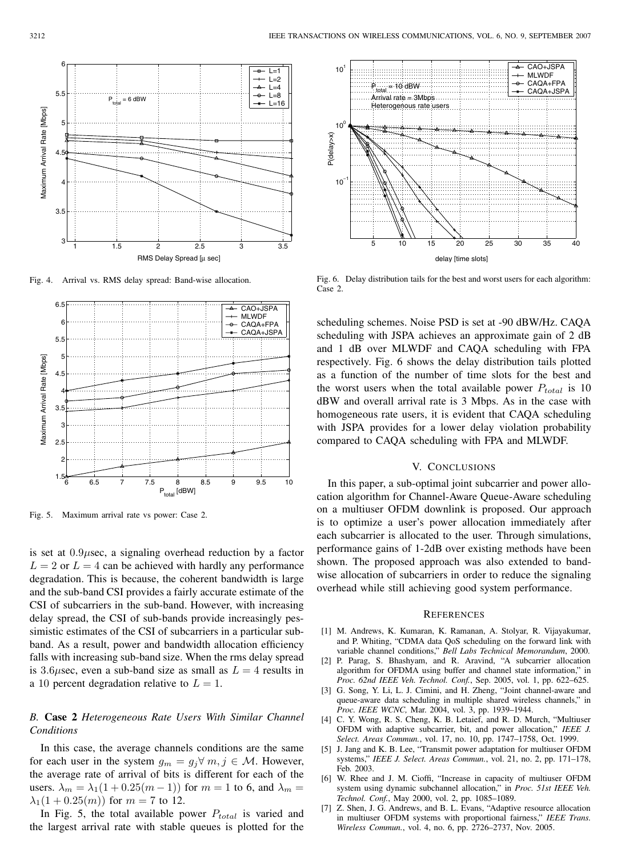

Fig. 4. Arrival vs. RMS delay spread: Band-wise allocation.



Fig. 5. Maximum arrival rate vs power: Case 2.

is set at  $0.9\mu$ sec, a signaling overhead reduction by a factor  $L = 2$  or  $L = 4$  can be achieved with hardly any performance degradation. This is because, the coherent bandwidth is large and the sub-band CSI provides a fairly accurate estimate of the CSI of subcarriers in the sub-band. However, with increasing delay spread, the CSI of sub-bands provide increasingly pessimistic estimates of the CSI of subcarriers in a particular subband. As a result, power and bandwidth allocation efficiency falls with increasing sub-band size. When the rms delay spread is 3.6 $\mu$ sec, even a sub-band size as small as  $L = 4$  results in a 10 percent degradation relative to  $L = 1$ .

# *B.* **Case 2** *Heterogeneous Rate Users With Similar Channel Conditions*

In this case, the average channels conditions are the same for each user in the system  $g_m = g_j \forall m, j \in \mathcal{M}$ . However, the average rate of arrival of bits is different for each of the users.  $\lambda_m = \lambda_1(1 + 0.25(m - 1))$  for  $m = 1$  to 6, and  $\lambda_m =$  $\lambda_1(1 + 0.25(m))$  for  $m = 7$  to 12.

In Fig. 5, the total available power P*total* is varied and the largest arrival rate with stable queues is plotted for the



Fig. 6. Delay distribution tails for the best and worst users for each algorithm: Case 2.

scheduling schemes. Noise PSD is set at -90 dBW/Hz. CAQA scheduling with JSPA achieves an approximate gain of 2 dB and 1 dB over MLWDF and CAQA scheduling with FPA respectively. Fig. 6 shows the delay distribution tails plotted as a function of the number of time slots for the best and the worst users when the total available power P*total* is 10 dBW and overall arrival rate is 3 Mbps. As in the case with homogeneous rate users, it is evident that CAQA scheduling with JSPA provides for a lower delay violation probability compared to CAQA scheduling with FPA and MLWDF.

# V. CONCLUSIONS

In this paper, a sub-optimal joint subcarrier and power allocation algorithm for Channel-Aware Queue-Aware scheduling on a multiuser OFDM downlink is proposed. Our approach is to optimize a user's power allocation immediately after each subcarrier is allocated to the user. Through simulations, performance gains of 1-2dB over existing methods have been shown. The proposed approach was also extended to bandwise allocation of subcarriers in order to reduce the signaling overhead while still achieving good system performance.

#### **REFERENCES**

- [1] M. Andrews, K. Kumaran, K. Ramanan, A. Stolyar, R. Vijayakumar, and P. Whiting, "CDMA data QoS scheduling on the forward link with variable channel conditions," *Bell Labs Technical Memorandum*, 2000.
- [2] P. Parag, S. Bhashyam, and R. Aravind, "A subcarrier allocation algorithm for OFDMA using buffer and channel state information," in *Proc. 62nd IEEE Veh. Technol. Conf.*, Sep. 2005, vol. 1, pp. 622–625.
- [3] G. Song, Y. Li, L. J. Cimini, and H. Zheng, "Joint channel-aware and queue-aware data scheduling in multiple shared wireless channels," in *Proc. IEEE WCNC,* Mar. 2004, vol. 3, pp. 1939–1944.
- [4] C. Y. Wong, R. S. Cheng, K. B. Letaief, and R. D. Murch, "Multiuser OFDM with adaptive subcarrier, bit, and power allocation," *IEEE J. Select. Areas Commun.*, vol. 17, no. 10, pp. 1747–1758, Oct. 1999.
- [5] J. Jang and K. B. Lee, "Transmit power adaptation for multiuser OFDM systems," *IEEE J. Select. Areas Commun.*, vol. 21, no. 2, pp. 171–178, Feb. 2003.
- [6] W. Rhee and J. M. Cioffi, "Increase in capacity of multiuser OFDM system using dynamic subchannel allocation," in *Proc. 51st IEEE Veh. Technol. Conf.*, May 2000, vol. 2, pp. 1085–1089.
- [7] Z. Shen, J. G. Andrews, and B. L. Evans, "Adaptive resource allocation in multiuser OFDM systems with proportional fairness," *IEEE Trans. Wireless Commun.*, vol. 4, no. 6, pp. 2726–2737, Nov. 2005.